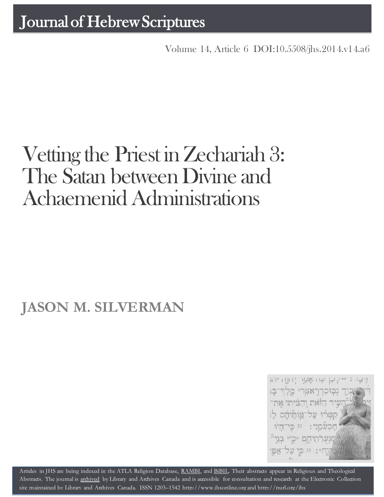Volume 14, Article 6 [DOI:10.5508/jhs.2014.v14.a6](http://dx.doi.org/10.5508/jhs.2014.v14.a6)

# Vetting the Priest in Zechariah 3: The Satan between Divine and Achaemenid Administrations

## **JASON M. SILVERMAN**



Artides in JHS are being indexed in the ATLA Religion Database, [RAMBI,](http://jnul.huji.ac.il/rambi/) and [BiBIL.](http://bibil.net/) Their abstracts appear in Religious and Theological Abstracts. The journal is [archived](http://epe.lac-bac.gc.ca/100/201/300/journal_hebrew/index.html) by Library and Archives Canada and is accessible for consultation and research at the Electronic Collection site maintained by [Library and Archives Canada.](http://collectionscanada.ca/electroniccollection/003008-200-e.html) ISSN 1203–1542 [http://www.jhsonline.org](http://www.jhsonline.org/) and<http://purl.org/jhs>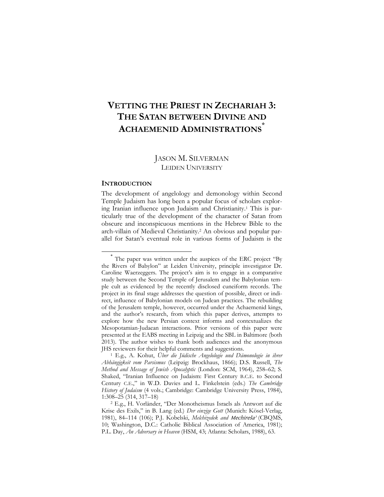### **VETTING THE PRIEST IN ZECHARIAH 3: THE SATAN BETWEEN DIVINE AND ACHAEMENID ADMINISTRATIONS\***

#### JASON M. SILVERMAN LEIDEN UNIVERSITY

#### **INTRODUCTION**

 $\overline{a}$ 

The development of angelology and demonology within Second Temple Judaism has long been a popular focus of scholars exploring Iranian influence upon Judaism and Christianity.<sup>1</sup> This is particularly true of the development of the character of Satan from obscure and inconspicuous mentions in the Hebrew Bible to the arch-villain of Medieval Christianity.<sup>2</sup> An obvious and popular parallel for Satan's eventual role in various forms of Judaism is the

<sup>\*</sup> The paper was written under the auspices of the ERC project "By the Rivers of Babylon" at Leiden University, principle investigator Dr. Caroline Waerzeggers. The project's aim is to engage in a comparative study between the Second Temple of Jerusalem and the Babylonian temple cult as evidenced by the recently disclosed cuneiform records. The project in its final stage addresses the question of possible, direct or indirect, influence of Babylonian models on Judean practices. The rebuilding of the Jerusalem temple, however, occurred under the Achaemenid kings, and the author's research, from which this paper derives, attempts to explore how the new Persian context informs and contextualizes the Mesopotamian-Judaean interactions. Prior versions of this paper were presented at the EABS meeting in Leipzig and the SBL in Baltimore (both 2013). The author wishes to thank both audiences and the anonymous JHS reviewers for their helpful comments and suggestions.

<sup>1</sup> E.g., A. Kohut, *Über die Jüdische Angelologie und Dämonologie in ihrer Abhängigkeit vom Parsismus* (Leipzig: Brockhaus, 1866); D.S. Russell, *The Method and Message of Jewish Apocalyptic* (London: SCM, 1964), 258–62; S. Shaked, "Iranian Influence on Judaism: First Century B.C.E. to Second Century C.E.," in W.D. Davies and L. Finkelstein (eds.) *The Cambridge History of Judaism* (4 vols.; Cambridge: Cambridge University Press, 1984), 1:308–25 (314, 317–18)

<sup>2</sup> E.g., H. Vorländer, "Der Monotheismus Israels als Antwort auf die Krise des Exils," in B. Lang (ed.) *Der einzige Gott* (Munich: Kösel-Verlag, 1981), 84–114 (106); P.J. Kobelski, *Melchizedek and* Mechirešaʾ (CBQMS, 10; Washington, D.C.: Catholic Biblical Association of America, 1981); P.L. Day, *An Adversary in Heaven* (HSM, 43; Atlanta: Scholars, 1988), 63.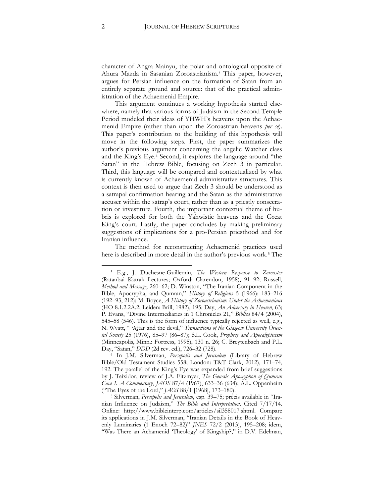character of Angra Mainyu, the polar and ontological opposite of Ahura Mazda in Sasanian Zoroastrianism.<sup>3</sup> This paper, however, argues for Persian influence on the formation of Satan from an entirely separate ground and source: that of the practical administration of the Achaemenid Empire.

This argument continues a working hypothesis started elsewhere, namely that various forms of Judaism in the Second Temple Period modeled their ideas of YHWH's heavens upon the Achaemenid Empire (rather than upon the Zoroastrian heavens *per se*). This paper's contribution to the building of this hypothesis will move in the following steps. First, the paper summarizes the author's previous argument concerning the angelic Watcher class and the King's Eye.<sup>4</sup> Second, it explores the language around "the Satan" in the Hebrew Bible, focusing on Zech 3 in particular. Third, this language will be compared and contextualized by what is currently known of Achaemenid administrative structures. This context is then used to argue that Zech 3 should be understood as a satrapal confirmation hearing and the Satan as the administrative accuser within the satrap's court, rather than as a priestly consecration or investiture. Fourth, the important contextual theme of hubris is explored for both the Yahwistic heavens and the Great King's court. Lastly, the paper concludes by making preliminary suggestions of implications for a pro-Persian priesthood and for Iranian influence.

The method for reconstructing Achaemenid practices used here is described in more detail in the author's previous work.<sup>5</sup> The

<sup>3</sup> E.g., J. Duchesne-Guillemin, *The Western Response to Zoroaster* (Ratanbai Katrak Lectures; Oxford: Clarendon, 1958), 91–92; Russell, *Method and Message*, 260–62; D. Winston, "The Iranian Component in the Bible, Apocrypha, and Qumran," *History of Religions* 5 (1966): 183–216 (192–93, 212); M. Boyce, *A History of Zoroastrianism: Under the Achaemenians*  (HO 8.1.2.2A.2; Leiden: Brill, 1982), 195; Day, *An Adversary in Heaven*, 63; P. Evans, "Divine Intermediaries in 1 Chronicles 21," *Biblica* 84/4 (2004), 545–58 (546). This is the form of influence typically rejected as well, e.g., N. Wyatt, " ʿAṯtar and the devil," *Transactions of the Glasgow University Oriental Society* 25 (1976), 85–97 (86–87); S.L. Cook, *Prophecy and Apocalypticism*  (Minneapolis, Minn.: Fortress, 1995), 130 n. 26; C. Breytenbach and P.L. Day, "Satan," *DDD* (2d rev. ed.), 726–32 (728).

<sup>4</sup> In J.M. Silverman, *Persepolis and Jerusalem* (Library of Hebrew Bible/Old Testament Studies 558; London: T&T Clark, 2012), 171–74, 192. The parallel of the King's Eye was expanded from brief suggestions by J. Teixidor, review of J.A. Fitzmyer, *The Genesis Apocryphon of Qumran Cave I. A Commentary*, *JAOS* 87/4 (1967), 633–36 (634); A.L. Oppenheim ("The Eyes of the Lord," *JAOS* 88/1 [1968], 173–180).

<sup>5</sup> Silverman, *Persepolis and Jerusalem*, esp. 39–75; précis available in "Iranian Influence on Judaism," *The Bible and Interpretation*. Cited 7/17/14. Online: http://www.bibleinterp.com/articles/sil358017.shtml. Compare its applications in J.M. Silverman, "Iranian Details in the Book of Heavenly Luminaries (1 Enoch 72–82)" *JNES* 72/2 (2013), 195–208; idem, "Was There an Achamenid 'Theology' of Kingship?," in D.V. Edelman,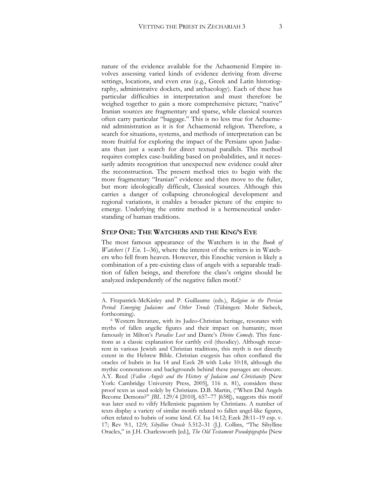nature of the evidence available for the Achaemenid Empire involves assessing varied kinds of evidence deriving from diverse settings, locations, and even eras (e.g., Greek and Latin historiography, administrative dockets, and archaeology). Each of these has particular difficulties in interpretation and must therefore be weighed together to gain a more comprehensive picture; "native" Iranian sources are fragmentary and sparse, while classical sources often carry particular "baggage." This is no less true for Achaemenid administration as it is for Achaemenid religion. Therefore, a search for situations, systems, and methods of interpretation can be more fruitful for exploring the impact of the Persians upon Judaeans than just a search for direct textual parallels. This method requires complex case-building based on probabilities, and it necessarily admits recognition that unexpected new evidence could alter the reconstruction. The present method tries to begin with the more fragmentary "Iranian" evidence and then move to the fuller, but more ideologically difficult, Classical sources. Although this carries a danger of collapsing chronological development and regional variations, it enables a broader picture of the empire to emerge. Underlying the entire method is a hermeneutical understanding of human traditions.

#### **STEP ONE: THE WATCHERS AND THE KING'S EYE**

1

The most famous appearance of the Watchers is in the *Book of Watchers* (*1 En.* 1–36), where the interest of the writers is in Watchers who fell from heaven. However, this Enochic version is likely a combination of a pre-existing class of angels with a separable tradition of fallen beings, and therefore the class's origins should be analyzed independently of the negative fallen motif.<sup>6</sup>

A. Fitzpatrick-McKinley and P. Guillaume (eds.), *Religion in the Persian Period: Emerging Judaisms and Other Trends* (Tübingen: Mohr Siebeck, forthcoming).

<sup>6</sup> Western literature, with its Judeo-Christian heritage, resonates with myths of fallen angelic figures and their impact on humanity, most famously in Milton's *Paradise Lost* and Dante's *Divine Comedy*. This functions as a classic explanation for earthly evil (theodicy). Although recurrent in various Jewish and Christian traditions, this myth is not directly extent in the Hebrew Bible. Christian exegesis has often conflated the oracles of hubris in Isa 14 and Ezek 28 with Luke 10:18, although the mythic connotations and backgrounds behind these passages are obscure. A.Y. Reed (*Fallen Angels and the History of Judaism and Christianity* [New York: Cambridge University Press, 2005], 116 n. 81), considers these proof texts as used solely by Christians. D.B. Martin, ("When Did Angels Become Demons?" *JBL* 129/4 [2010], 657–77 [658]), suggests this motif was later used to vilify Hellenistic paganism by Christians. A number of texts display a variety of similar motifs related to fallen angel-like figures, often related to hubris of some kind. Cf. Isa 14:12; Ezek 28:11–19 esp. v. 17; Rev 9:1, 12:9; *Sibylline Oracle* 5.512–31 (J.J. Collins, "The Sibylline Oracles," in J.H. Charlesworth [ed.], *The Old Testament Pseudepigrapha* [New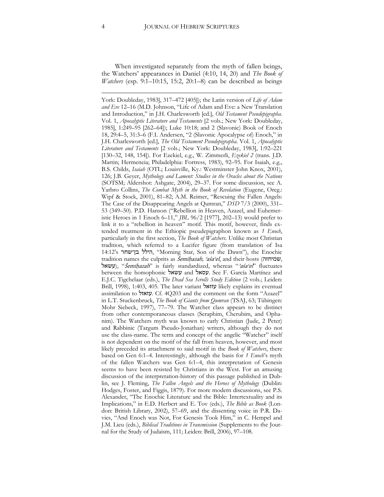When investigated separately from the myth of fallen beings, the Watchers' appearances in Daniel (4:10, 14, 20) and *The Book of Watchers* (esp. 9:1–10:15, 15:2, 20:1–8) can be described as beings

York: Doubleday, 1983], 317–472 [405]); the Latin version of *Life of Adam and Eve* 12–16 (M.D. Johnson, "Life of Adam and Eve: a New Translation and Introduction," in J.H. Charlesworth [ed.], *Old Testament Pseudepigrapha.*  Vol. 1, *Apocalyptic Literature and Testaments* [2 vols.; New York: Doubleday, 1985], 1:249–95 [262–64]); Luke 10:18; and 2 (Slavonic) Book of Enoch 18, 29:4–5, 31:3–6 (F.I. Andersen, "2 (Slavonic Apocalypse of) Enoch," in J.H. Charlesworth [ed.], *The Old Testament Pseudepigrapha.* Vol. 1, *Apocalyptic Literature and Testaments* [2 vols.; New York: Doubleday, 1983], 1:92–221 [130–32, 148, 154]). For Ezekiel, e.g., W. Zimmerli, *Ezekiel 2* (trans. J.D. Martin; Hermeneia; Philadelphia: Fortress, 1983), 92–95. For Isaiah, e.g., B.S. Childs, *Isaiah* (OTL; Louisville, Ky.: Westminster John Knox, 2001), 126; J.B. Geyer, *Mythology and Lament: Studies in the Oracles about the Nations* (SOTSM; Aldershot: Ashgate, 2004), 29–37. For some discussion, see A. Yarbro Collins, *The Combat Myth in the Book of Revelation* (Eugene, Oreg.: Wipf & Stock, 2001), 81–82; A.M. Reimer, "Rescuing the Fallen Angels: The Case of the Disappearing Angels at Qumran," *DSD* 7/3 (2000), 331– 53 (349–50). P.D. Hanson ("Rebellion in Heaven, Azazel, and Euhemeristic Heroes in 1 Enoch 6–11," *JBL* 96/2 [1977], 202–13) would prefer to link it to a "rebellion in heaven" motif. This motif, however, finds extended treatment in the Ethiopic pseudepigraphon known as *1 Enoch*, particularly in the first section, *The Book of Watchers*. Unlike most Christian tradition, which referred to a Lucifer figure (from translation of Isa 14:12's בן־שחר הילל," Morning Star, Son of the Dawn"), the Enochic tradition names the culprits as Šemiḥazah, ʾaśa<sup>ʿ</sup>el, and their hosts (שמיחזה, עשאל), "Semihazah" is fairly standardized, whereas "asa'el" fluctuates between the homophonic עשאל and עסאל. See F. García Martínez and E.J.C. Tigchelaar (eds.), *The Dead Sea Scrolls Study Edition* (2 vols.; Leiden: Brill, 1998), 1:403, 405. The later variant עזזאל likely explains its eventual assimilation to עזאזל. Cf. 4Q203 and the comment on the form "Azazel" in L.T. Stuckenbruck, *The Book of Giants from Qumran* (TSAJ, 63; Tübingen: Mohr Siebeck, 1997), 77–79. The Watcher class appears to be distinct from other contemporaneous classes (Seraphim, Cherubim, and Ophanim). The Watchers myth was known to early Christian (Jude, 2 Peter) and Rabbinic (Targum Pseudo-Jonathan) writers, although they do not use the class-name. The term and concept of the angelic "Watcher" itself is not dependent on the motif of the fall from heaven, however, and most likely preceded its attachment to said motif in the *Book of Watchers*, there based on Gen 6:1–4. Interestingly, although the basis for *1 Enoch*'s myth of the fallen Watchers was Gen 6:1–4, this interpretation of Genesis seems to have been resisted by Christians in the West. For an amusing discussion of the interpretation-history of this passage published in Dublin, see J. Fleming, *The Fallen Angels and the Heroes of Mythology* (Dublin: Hodges, Foster, and Figgis, 1879). For more modern discussions, see P.S. Alexander, "The Enochic Literature and the Bible: Intertextuality and its Implications," in E.D. Herbert and E. Tov (eds.), *The Bible as Book* (London: British Library, 2002), 57–69, and the dissenting voice in P.R. Davies, "And Enoch was Not, For Genesis Took Him," in C. Hempel and J.M. Lieu (eds.), *Biblical Traditions in Transmission* (Supplements to the Journal for the Study of Judaism, 111; Leiden: Brill, 2006), 97–108.

<u>.</u>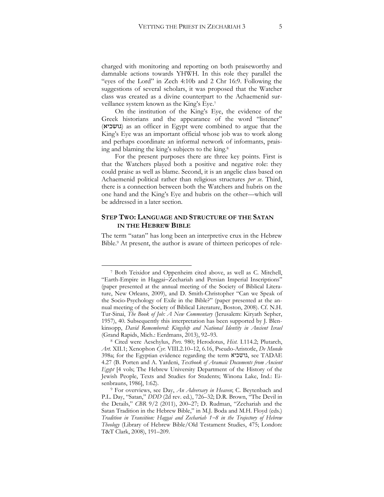charged with monitoring and reporting on both praiseworthy and damnable actions towards YHWH. In this role they parallel the "eyes of the Lord" in Zech 4:10b and 2 Chr 16:9. Following the suggestions of several scholars, it was proposed that the Watcher class was created as a divine counterpart to the Achaemenid surveillance system known as the King's Eye.<sup>7</sup>

On the institution of the King's Eye, the evidence of the Greek historians and the appearance of the word "listener" (גושכיא) as an officer in Egypt were combined to argue that the King's Eye was an important official whose job was to work along and perhaps coordinate an informal network of informants, praising and blaming the king's subjects to the king.<sup>8</sup>

For the present purposes there are three key points. First is that the Watchers played both a positive and negative role: they could praise as well as blame. Second, it is an angelic class based on Achaemenid political rather than religious structures *per se*. Third, there is a connection between both the Watchers and hubris on the one hand and the King's Eye and hubris on the other—which will be addressed in a later section.

#### **STEP TWO: LANGUAGE AND STRUCTURE OF THE SATAN IN THE HEBREW BIBLE**

The term "satan" has long been an interpretive crux in the Hebrew Bible.<sup>9</sup> At present, the author is aware of thirteen pericopes of rele-

<sup>7</sup> Both Teixidor and Oppenheim cited above, as well as C. Mitchell, "Earth-Empire in Haggai-Zechariah and Persian Imperial Inscriptions" (paper presented at the annual meeting of the Society of Biblical Literature, New Orleans, 2009), and D. Smith-Christopher "Can we Speak of the Socio-Psychology of Exile in the Bible?" (paper presented at the annual meeting of the Society of Biblical Literature, Boston, 2008). Cf. N.H. Tur-Sinai, *The Book of Job: A New Commentary* (Jerusalem: Kiryath Sepher, 1957), 40. Subsequently this interpretation has been supported by J. Blenkinsopp, *David Remembered: Kingship and National Identity in Ancient Israel* (Grand Rapids, Mich.: Eerdmans, 2013), 92–93.

<sup>8</sup> Cited were Aeschylus, *Pers.* 980; Herodotus, *Hist.* I.114.2; Plutarch, *Art.* XII.1; Xenophon *Cyr.* VIII.2.10–12, 6.16, Pseudo-Aristotle, *De Mundo*  398a; for the Egyptian evidence regarding the term גושכיא, see TADAE 4.27 (B. Porten and A. Yardeni, *Textbook of Aramaic Documents from Ancient Egypt* [4 vols; The Hebrew University Department of the History of the Jewish People, Texts and Studies for Students; Winona Lake, Ind.: Eisenbrauns, 1986], 1:62).

<sup>9</sup> For overviews, see Day, *An Adversary in Heaven*; C. Beytenbach and P.L. Day, "Satan," *DDD* (2d rev. ed.), 726–32; D.R. Brown, "The Devil in the Details," *CBR* 9/2 (2011), 200–27; D. Rudman, "Zechariah and the Satan Tradition in the Hebrew Bible," in M.J. Boda and M.H. Floyd (eds.) *Tradition in Transition: Haggai and Zechariah 18 in the Trajectory of Hebrew Theology* (Library of Hebrew Bible/Old Testament Studies, 475; London: T&T Clark, 2008), 191–209.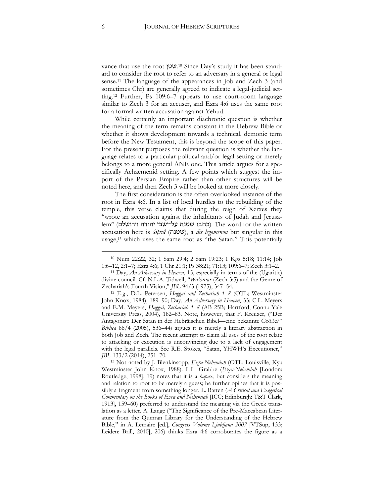vance that use the root שטן. <sup>10</sup> Since Day's study it has been standard to consider the root to refer to an adversary in a general or legal sense.<sup>11</sup> The language of the appearances in Job and Zech 3 (and sometimes Chr) are generally agreed to indicate a legal-judicial setting.<sup>12</sup> Further, Ps 109:6–7 appears to use court-room language similar to Zech 3 for an accuser, and Ezra 4:6 uses the same root for a formal written accusation against Yehud.

While certainly an important diachronic question is whether the meaning of the term remains constant in the Hebrew Bible or whether it shows development towards a technical, demonic term before the New Testament, this is beyond the scope of this paper. For the present purposes the relevant question is whether the language relates to a particular political and/or legal setting or merely belongs to a more general ANE one. This article argues for a specifically Achaemenid setting. A few points which suggest the import of the Persian Empire rather than other structures will be noted here, and then Zech 3 will be looked at more closely.

The first consideration is the often overlooked instance of the root in Ezra 4:6. In a list of local hurdles to the rebuilding of the temple, this verse claims that during the reign of Xerxes they "wrote an accusation against the inhabitants of Judah and Jerusa $l$ em" (כתבו שטנה על־ישבי יהודה וירושלם). The word for the written accusation here is  $s$ itna<sup>2</sup> (שטנה), a *dis legomenon* but singular in this usage,<sup>13</sup> which uses the same root as "the Satan." This potentially

<sup>10</sup> Num 22:22, 32; 1 Sam 29:4; 2 Sam 19:23; 1 Kgs 5:18; 11:14; Job 1:6–12, 2:1–7; Ezra 4:6; 1 Chr 21:1; Ps 38:21; 71:13; 109:6–7; Zech 3:1–2.

<sup>11</sup> Day, *An Adversary in Heaven*, 15, especially in terms of the (Ugaritic) divine council. Cf. N.L.A. Tidwell, "Wa'ōmar (Zech 3:5) and the Genre of Zechariah's Fourth Vision," *JBL* 94/3 (1975), 347–54.

<sup>12</sup> E.g., D.L. Petersen, *Haggai and Zechariah 1–8* (OTL; Westminster John Knox, 1984), 189–90; Day, *An Adversary in Heaven*, 33; C.L. Meyers and E.M. Meyers, *Haggai, Zechariah 1–8* (AB 25B; Hartford, Conn.: Yale University Press, 2004), 182–83. Note, however, that F. Kreuzer, ("Der Antagonist: Der Satan in der Hebräischen Bibel—eine bekannte Größe?" *Biblica* 86/4 (2005), 536–44) argues it is merely a literary abstraction in both Job and Zech. The recent attempt to claim all uses of the root relate to attacking or execution is unconvincing due to a lack of engagement with the legal parallels. See R.E. Stokes, "Satan, YHWH's Executioner," *JBL* 133/2 (2014), 251–70.

<sup>13</sup> Not noted by J. Blenkinsopp, *Ezra-Nehemiah* (OTL; Louisville, Ky.: Westminster John Knox, 1988). L.L. Grabbe (*Ezra-Nehemiah* [London: Routledge, 1998], 19) notes that it is a *hapax*, but considers the meaning and relation to root to be merely a guess; he further opines that it is possibly a fragment from something longer. L. Batten (*A Critical and Exegetical Commentary on the Books of Ezra and Nehemiah* [ICC; Edinburgh: T&T Clark, 1913], 159–60) preferred to understand the meaning via the Greek translation as a letter. A. Lange ("The Significance of the Pre-Maccabean Literature from the Qumran Library for the Understanding of the Hebrew Bible," in A. Lemaire [ed.], *Congress Volume Ljubljana 2007* [VTSup, 133; Leiden: Brill, 2010], 206) thinks Ezra 4:6 corroborates the figure as a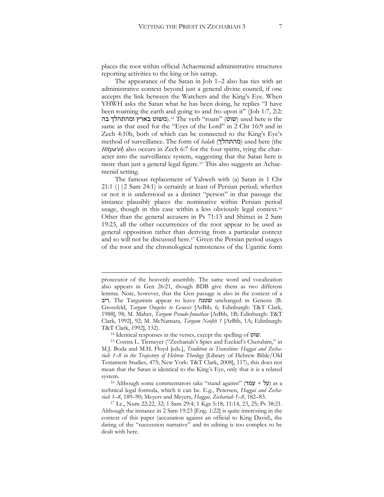places the root within official Achaemenid administrative structures reporting activities to the king or his satrap.

The appearance of the Satan in Job 1–2 also has ties with an administrative context beyond just a general divine council, if one accepts the link between the Watchers and the King's Eye. When YHWH asks the Satan what he has been doing, he replies "I have been roaming the earth and going to and fro upon it" (Job 1:7, 2:2: בה (משוט בארץ ומהתהלך בה).<sup>14</sup> The verb "roam" (שוט) used here is the same as that used for the "Eyes of the Lord" in 2 Chr 16:9 and in Zech 4:10b, both of which can be connected to the King's Eye's method of surveillance. The form of *halak* (מהתהלך (used here (the Hitpa $\ell$ el) also occurs in Zech 6:7 for the four spirits, tying the character into the surveillance system, suggesting that the Satan here is more than just a general legal figure.<sup>15</sup> This also suggests an Achaemenid setting.

The famous replacement of Yahweh with (a) Satan in 1 Chr 21:1 (||2 Sam 24:1) is certainly at least of Persian period; whether or not it is understood as a distinct "person" in that passage the instance plausibly places the nominative within Persian period usage, though in this case within a less obviously legal context.<sup>16</sup> Other than the general accusers in Ps 71:13 and Shimei in 2 Sam 19:23, all the other occurrences of the root appear to be used as general opposition rather than deriving from a particular context and so will not be discussed here.<sup>17</sup> Given the Persian period usages of the root and the chronological remoteness of the Ugaritic form

1

prosecutor of the heavenly assembly. The same word and vocalization also appears in Gen 26:21, though BDB give them as two different lemma. Note, however, that the Gen passage is also in the context of a ריב. The Targumim appear to leave שטנה unchanged in Genesis (B. Grossfeld, *Targum Onqelos to Genesis* [ArBib, 6; Edinburgh: T&T Clark, 1988], 98; M. Maher, *Targum Pseudo-Jonathan* [ArBib, 1B; Edinburgh: T&T Clark, 1992], 92; M. McNamara, *Targum Neofiti 1* [ArBib, 1A; Edinburgh: T&T Clark, 1992], 132).

<sup>14</sup> Identical responses in the verses, except the spelling of שוט.

<sup>15</sup> Contra L. Tiemeyer ("Zechariah's Spies and Ezekiel's Cherubim," in M.J. Boda and M.H. Floyd [eds.], *Tradition in Transition: Haggai and Zechariah 1–8 in the Trajectory of Hebrew Theology* [Library of Hebrew Bible/Old Testament Studies, 475; New York: T&T Clark, 2008], 117), this does not mean that the Satan is identical to the King's Eye, only that it is a related system.

<sup>16</sup> Although some commentators take "stand against" (על + עמד) as a technical legal formula, which it can be. E.g., Petersen, *Haggai and Zechariah 1–8*, 189–90; Meyers and Meyers, *Haggai, Zechariah 1–8*, 182–83.

<sup>17</sup> I.e., Num 22:22, 32; 1 Sam 29:4; 1 Kgs 5:18; 11:14, 23, 25; Ps 38:21. Although the instance in 2 Sam 19:23 [Eng. 1:22] is quite interesting in the context of this paper (accusation against an official to King David), the dating of the "succession narrative" and its editing is too complex to be dealt with here.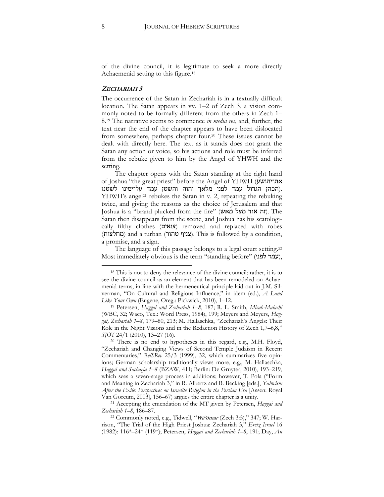of the divine council, it is legitimate to seek a more directly Achaemenid setting to this figure.<sup>18</sup>

#### **ZECHARIAH 3**

The occurrence of the Satan in Zechariah is in a textually difficult location. The Satan appears in vv. 1–2 of Zech 3, a vision commonly noted to be formally different from the others in Zech 1– 8.<sup>19</sup> The narrative seems to commence *in media res*, and, further, the text near the end of the chapter appears to have been dislocated from somewhere, perhaps chapter four.<sup>20</sup> These issues cannot be dealt with directly here. The text as it stands does not grant the Satan any action or voice, so his actions and role must be inferred from the rebuke given to him by the Angel of YHWH and the setting.

The chapter opens with the Satan standing at the right hand of Joshua "the great priest" before the Angel of YHWH (את־יהושע .(הכהן הגדול עמד לפני מלאך יהוה והשטן עמד על־ימינו לשטנו YHWH's angel<sup>21</sup> rebukes the Satan in v. 2, repeating the rebuking twice, and giving the reasons as the choice of Jerusalem and that Joshua is a "brand plucked from the fire" (זה אוד מצל מאש). The Satan then disappears from the scene, and Joshua has his scatologically filthy clothes (צואים (removed and replaced with robes (מחלצות) and a turban (צניף טהור). This is followed by a condition, a promise, and a sign.

The language of this passage belongs to a legal court setting.<sup>22</sup> Most immediately obvious is the term "standing before" (עמד לפני),

<sup>18</sup> This is not to deny the relevance of the divine council; rather, it is to see the divine council as an element that has been remodeled on Achaemenid terms, in line with the hermeneutical principle laid out in J.M. Silverman, "On Cultural and Religious Influence," in idem (ed.), *A Land Like Your Own* (Eugene, Oreg.: Pickwick, 2010), 1–12.

<sup>19</sup> Petersen, *Haggai and Zechariah 1–8*, 187; R. L. Smith, *Micah-Malachi* (WBC, 32; Waco, Tex.: Word Press, 1984), 199; Meyers and Meyers, *Haggai, Zechariah 1–8*, 179–80, 213; M. Hallaschka, "Zechariah's Angels: Their Role in the Night Visions and in the Redaction History of Zech 1,7–6,8," *SJOT* 24/1 (2010), 13–27 (16).

<sup>20</sup> There is no end to hypotheses in this regard, e.g., M.H. Floyd, "Zechariah and Changing Views of Second Temple Judaism in Recent Commentaries," *RelSRev* 25/3 (1999), 32, which summarizes five opinions; German scholarship traditionally views more, e.g., M. Hallaschka, *Haggai und Sacharja 1–8* (BZAW, 411; Berlin: De Gruyter, 2010), 193–219, which sees a seven-stage process in additions; however, T. Pola ("Form and Meaning in Zechariah 3," in R. Albertz and B. Becking [eds.], *Yahwism After the Exile: Perspectives on Israelite Religion in the Persian Era* [Assen: Royal Van Gorcum, 2003], 156–67) argues the entire chapter is a unity.

<sup>21</sup> Accepting the emendation of the MT given by Petersen, *Haggai and Zechariah 1–8*, 186–87.

<sup>&</sup>lt;sup>22</sup> Commonly noted, e.g., Tidwell, "Wa'omar (Zech 3:5)," 347; W. Harrison, "The Trial of the High Priest Joshua: Zechariah 3," *Eretz Israel* 16 (1982): 116\*–24\* (119\*); Petersen, *Haggai and Zechariah 1–8*, 191; Day, *An*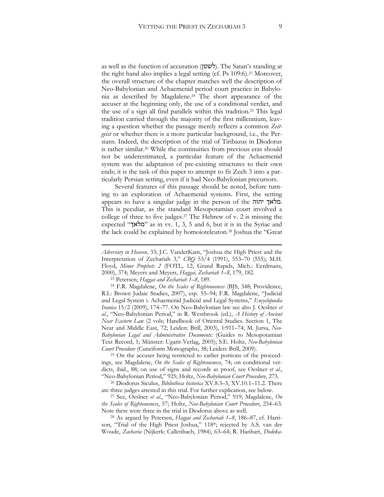as well as the function of accusation (לשטן). The Satan's standing at the right hand also implies a legal setting (cf. Ps 109:6).<sup>23</sup> Moreover, the overall structure of the chapter matches well the description of Neo-Babylonian and Achaemenid period court practice in Babylonia as described by Magdalene.<sup>24</sup> The short appearance of the accuser at the beginning only, the use of a conditional verdict, and the use of a sign all find parallels within this tradition.<sup>25</sup> This legal tradition carried through the majority of the first millennium, leaving a question whether the passage merely reflects a common *Zeitgeist* or whether there is a more particular background, i.e., the Persians. Indeed, the description of the trial of Tiribazus in Diodorus is rather similar.<sup>26</sup> While the continuities from previous eras should not be underestimated, a particular feature of the Achaemenid system was the adaptation of pre-existing structures to their own ends; it is the task of this paper to attempt to fit Zech 3 into a particularly Persian setting, even if it had Neo-Babylonian precursors.

Several features of this passage should be noted, before turning to an exploration of Achaemenid systems. First, the setting appears to have a singular judge in the person of the יהוה מלאך. This is peculiar, as the standard Mesopotamian court involved a college of three to five judges.<sup>27</sup> The Hebrew of v. 2 is missing the expected "מלאך" as in vv. 1, 3, 5 and 6, but it is in the Syriac and the lack could be explained by homoioteleuton.<sup>28</sup> Joshua the "Great

<sup>23</sup> Petersen, *Haggai and Zechariah 1–8*, 189.

1

<sup>24</sup> F.R. Magdalene, *On the Scales of Righteousness* (BJS, 348; Providence, R.I.: Brown Judaic Studies, 2007), esp. 55–94; F.R. Magdalene, "Judicial and Legal System i. Achaemenid Judicial and Legal Systems," *Encyclopædia Iranica* 15/2 (2009), 174–77. On Neo-Babylonian law see also J. Oeslner *et al*., "Neo-Babylonian Period," in R. Westbrook (ed.), *A History of Ancient Near Eastern Law* (2 vols; Handbook of Oriental Studies. Section 1, The Near and Middle East, 72; Leiden: Brill, 2003), 1:911–74; M. Jursa, *Neo-Babylonian Legal and Administrative Documents:* (Guides to Mesopotamian Text Record, 1; Münster: Ugarit-Verlag, 2005); S.E. Holtz, *Neo-Babylonian Court Procedure* (Cuneiform Monographs, 38; Leiden: Brill, 2009).

<sup>25</sup> On the accuser being restricted to earlier portions of the proceedings, see Magdalene, *On the Scales of Righteousness*, 74; on conditional verdicts, ibid., 88; on use of signs and records as proof, see Oeslner *et al*., "Neo-Babylonian Period," 925; Holtz, *Neo-Babylonian Court Procedure*, 273.

<sup>26</sup> Diodorus Siculus, *Bibliotheca historica* XV.8.3–5, XV.10.1–11.2. There are three judges attested in this trial. For further explication, see below.

<sup>27</sup> See, Oeslner *et al*., "Neo-Babylonian Period," 919; Magdalene, *On the Scales of Righteousness*, 57; Holtz, *Neo-Babylonian Court Procedure*, 254–63. Note there were three in the trial in Diodorus above as well.

<sup>28</sup> As argued by Petersen, *Haggai and Zechariah 1–8*, 186–87, cf. Harrison, "Trial of the High Priest Joshua," 118\*; rejected by A.S. van der Woude, *Zacharia* (Nijkerk: Callenbach, 1984), 63–64; R. Hanhart, *Dodeka-*

*Adversary in Heaven*, 33; J.C. VanderKam, "Joshua the High Priest and the Interpretation of Zechariah 3," *CBQ* 53/4 (1991), 553–70 (555); M.H. Floyd, *Minor Prophets 2* (FOTL, 12; Grand Rapids, Mich.: Eerdmans, 2000), 374; Meyers and Meyers, *Haggai, Zechariah 1–8*, 179, 182.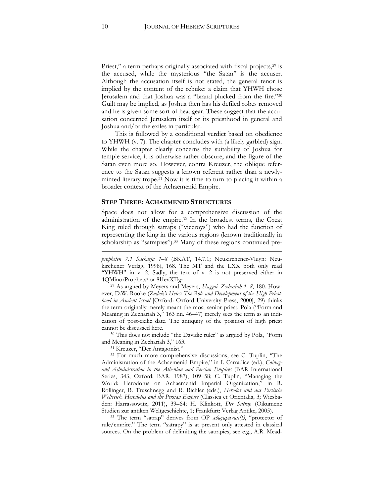Priest," a term perhaps originally associated with fiscal projects,<sup>29</sup> is the accused, while the mysterious "the Satan" is the accuser. Although the accusation itself is not stated, the general tenor is implied by the content of the rebuke: a claim that YHWH chose Jerusalem and that Joshua was a "brand plucked from the fire."<sup>30</sup> Guilt may be implied, as Joshua then has his defiled robes removed and he is given some sort of headgear. These suggest that the accusation concerned Jerusalem itself or its priesthood in general and Joshua and/or the exiles in particular.

This is followed by a conditional verdict based on obedience to YHWH (v. 7). The chapter concludes with (a likely garbled) sign. While the chapter clearly concerns the suitability of Joshua for temple service, it is otherwise rather obscure, and the figure of the Satan even more so. However, contra Kreuzer, the oblique reference to the Satan suggests a known referent rather than a newlyminted literary trope.<sup>31</sup> Now it is time to turn to placing it within a broader context of the Achaemenid Empire.

#### **STEP THREE: ACHAEMENID STRUCTURES**

Space does not allow for a comprehensive discussion of the administration of the empire.<sup>32</sup> In the broadest terms, the Great King ruled through satraps ("viceroys") who had the function of representing the king in the various regions (known traditionally in scholarship as "satrapies").<sup>33</sup> Many of these regions continued pre-

<sup>29</sup> As argued by Meyers and Meyers, *Haggai, Zechariah 1–8*, 180. However, D.W. Rooke (*Zadok's Heirs: The Role and Development of the High Priesthood in Ancient Israel* [Oxford: Oxford University Press, 2000], 29) thinks the term originally merely meant the most senior priest. Pola ("Form and Meaning in Zechariah 3," 163 nn. 46–47) merely sees the term as an indication of post-exilic date. The antiquity of the position of high priest cannot be discussed here.

<sup>30</sup> This does not include "the Davidic ruler" as argued by Pola, "Form and Meaning in Zechariah 3," 163.

<sup>31</sup> Kreuzer, "Der Antagonist."

<sup>32</sup> For much more comprehensive discussions, see C. Tuplin, "The Administration of the Achaemenid Empire," in I. Carradice (ed.), *Coinage and Administration in the Athenian and Persian Empires* (BAR International Series, 343; Oxford: BAR, 1987), 109–58; C. Tuplin, "Managing the World: Herodotus on Achaemenid Imperial Organization," in R. Rollinger, B. Truschnegg and R. Bichler (eds.), *Herodot und das Persische Weltreich*. *Herodotus and the Persian Empire* (Classica et Orientalia, 3; Wiesbaden: Harrassowitz, 2011), 39–64; H. Klinkott, *Der Satrap* (Oikumene Studien zur antiken Weltgeschichte, 1; Frankfurt: Verlag Antike, 2005).

<sup>33</sup> The term "satrap" derives from OP xšaçapāvan(t), "protector of rule/empire." The term "satrapy" is at present only attested in classical sources. On the problem of delimiting the satrapies, see e.g., A.R. Mead-

1

*propheten 7.1 Sacharja 1–8* (BKAT, 14.7.1; Neukirchener-Vluyn: Neukirchener Verlag, 1998), 168. The MT and the LXX both only read "YHWH" in v. 2. Sadly, the text of v. 2 is not preserved either in 4QMinorProphets<sup>e</sup> or 8ḤevXIIgr.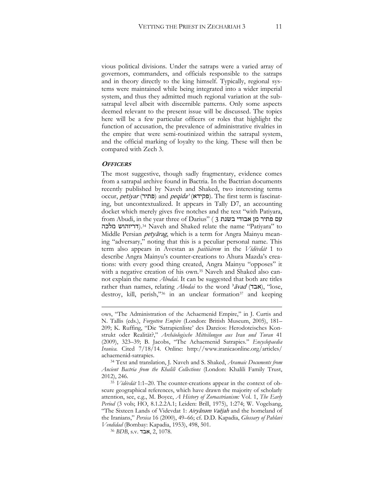vious political divisions. Under the satraps were a varied array of governors, commanders, and officials responsible to the satraps and in theory directly to the king himself. Typically, regional systems were maintained while being integrated into a wider imperial system, and thus they admitted much regional variation at the subsatrapal level albeit with discernible patterns. Only some aspects deemed relevant to the present issue will be discussed. The topics here will be a few particular officers or roles that highlight the function of accusation, the prevalence of administrative rivalries in the empire that were semi-routinized within the satrapal system, and the official marking of loyalty to the king. These will then be compared with Zech 3.

#### **OFFICERS**

1

The most suggestive, though sadly fragmentary, evidence comes from a satrapal archive found in Bactria. In the Bactrian documents recently published by Naveh and Shaked, two interesting terms occur, petiyar (פתיר) and peqida<sup>2</sup> (פקידא). The first term is fascinating, but uncontextualized. It appears in Tally D7, an accounting docket which merely gives five notches and the text "with Patiyara, from Abudi, in the year three of Darius" ( 3 בשנת אבודי מן פתיר עם מלכה דריוהוש(.<sup>34</sup> Naveh and Shaked relate the name "Patiyara" to Middle Persian *petyārag*, which is a term for Angra Mainyu meaning "adversary," noting that this is a peculiar personal name. This term also appears in Avestan as *paitiiārem* in the *Vīdēvdāt* 1 to describe Angra Mainyu's counter-creations to Ahura Mazda's creations: with every good thing created, Angra Mainyu "opposes" it with a negative creation of his own.<sup>35</sup> Naveh and Shaked also cannot explain the name *Abodai*. It can be suggested that both are titles rather than names, relating *Abodai* to the word <sup>3</sup> *avad* (אבד), "lose, destroy, kill, perish,"36 in an unclear formation<sup>37</sup> and keeping

ows, "The Administration of the Achaemenid Empire," in J. Curtis and N. Tallis (eds.), *Forgotten Empire* (London: British Museum, 2005), 181– 209; K. Ruffing, ["Die 'Satrapienliste' des Dareios: Herodoteisches Kon](http://www.academia.edu/852709/Die_Satrapienliste_des_Dareios_Herodoteisches_Konstrukt_oder_Realitat_AMIT_41_2009_323-339)strukt oder Realität?," *[Archäologische Mitteilungen aus Iran und](http://www.academia.edu/852709/Die_Satrapienliste_des_Dareios_Herodoteisches_Konstrukt_oder_Realitat_AMIT_41_2009_323-339) Turan* 41 [\(2009\), 323](http://www.academia.edu/852709/Die_Satrapienliste_des_Dareios_Herodoteisches_Konstrukt_oder_Realitat_AMIT_41_2009_323-339)–39; B. Jacobs, "The Achaemenid Satrapies." *Encyclopaedia Iranica.* Cited 7/18/14. Online: http://www.iranicaonline.org/articles/ achaemenid-satrapies.

<sup>34</sup> Text and translation, J. Naveh and S. Shaked, *Aramaic Documents from Ancient Bactria from the Khalili Collections* (London: Khalili Family Trust, 2012), 246.

<sup>35</sup> *Vīdēvdāt* 1:1–20. The counter-creations appear in the context of obscure geographical references, which have drawn the majority of scholarly attention, see, e.g., M. Boyce, *A History of Zoroastrianism:* Vol. 1, *The Early Period* (3 vols; HO, 8.1.2.2A.1; Leiden: Brill, 1975), 1:274; W. Vogelsang, "The Sixteen Lands of Videvdat 1: Airyânəm Vaējah and the homeland of the Iranians," *Persica* 16 (2000), 49–66; cf. D.D. Kapadia, *Glossary of Pahlavi Vendidad* (Bombay: Kapadia, 1953), 498, 501.

<sup>36</sup> *BDB*, s.v. אבד, 2, 1078.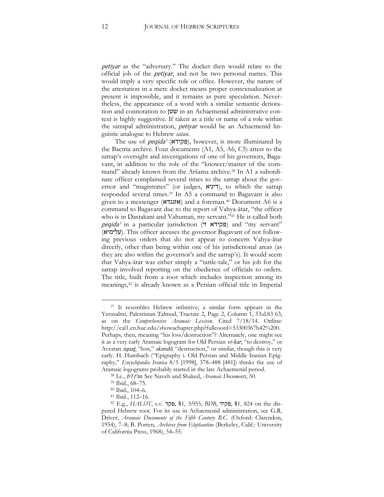petiyar as the "adversary." The docket then would relate to the official job of the petiyar, and not be two personal names. This would imply a very specific role or office. However, the nature of the attestation in a mere docket means proper contextualization at present is impossible, and it remains as pure speculation. Nevertheless, the appearance of a word with a similar semantic denotation and connotation to שטן in an Achaemenid administrative context is highly suggestive. If taken as a title or name of a role within the satrapal administration, *petiyar* would be an Achaemenid linguistic analogue to Hebrew *satan*.

The use of *peqida*<sup></sup> (פקידא), however, is more illuminated by the Bactria archive. Four documents (A1, A5, A6, C5) attest to the satrap's oversight and investigations of one of his governors, Bagavant, in addition to the role of the "knower/master of the command" already known from the Aršama archive.<sup>38</sup> In A1 a subordinate officer complained several times to the satrap about the governor and "magistrates" (or judges, דיניא), to which the satrap responded several times.<sup>39</sup> In A5 a command to Bagavant is also given to a messenger (אזגנדא (and a foreman.<sup>40</sup> Document A6 is a command to Bagavant due to the report of Vahya-ātar, "the officer who is in Dastakani and Vahumati, my servant."<sup>41</sup> He is called both peqida<sup></sup> in a particular jurisdiction (פקידא ו') and "my servant" (עלימיא(. This officer accuses the governor Bagavant of not following previous orders that do not appear to concern Vahya-ātar directly, other than being within one of his jurisdictional areas (as they are also within the governor's and the satrap's). It would seem that Vahya-ātar was either simply a "tattle-tale," or his job for the satrap involved reporting on the obedience of officials to orders. The title, built from a root which includes inspection among its meanings,<sup>42</sup> is already known as a Persian official title in Imperial

<u>.</u>

<sup>37</sup> It resembles Hebrew infinitive; a similar form appears in the Yerusalmi, Palestinian Talmud, Tractate 2, Page 2, Column 1, 53:d.83 63, as on the *Comprehensive Aramaic Lexicon*. Cited 7/18/14. Online: http://cal1.cn.huc.edu/showachapter.php?fullcoord=53300367b42%200. Perhaps, then, meaning "his loss/destruction"? Alternately, one might see it as a very early Aramaic logogram for Old Persian vi-kar, "to destroy," or Avestan nąsat, "lost," skandō, "destruction," or similar, though this is very early. H. Humbach ("Epigraphy i. Old Persian and Middle Iranian Epigraphy," *Encyclopædia Iranica* 8/5 [1998], 378–488 [481]) thinks the use of Aramaic logograms probably started in the late Achaemenid period.

<sup>38</sup> I.e., bʾl ṭʾm. See Naveh and Shaked, *Aramaic Documents*, 50.

<sup>39</sup> Ibid., 68–75.

<sup>40</sup> Ibid., 104–6.

<sup>41</sup> Ibid., 112–16.

<sup>42</sup> E.g., *HALOT*, s.v. פקד,§ 1, 3:955 ;*BDB*, פקיד,§ 1, 824 on the disputed Hebrew root. For its use in Achaemenid administration, see G.R. Driver, *Aramaic Documents of the Fifth Century B.C.* (Oxford: Clarendon, 1954), 7–8; B. Porten, *Archives from Elephantine* (Berkeley, Calif.: University of California Press, 1968), 54–55.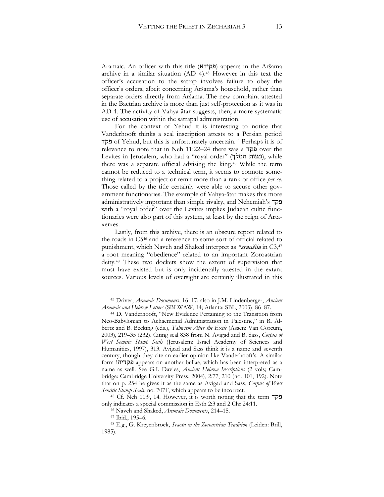Aramaic. An officer with this title (פקידא (appears in the Aršama archive in a similar situation (AD 4).<sup>43</sup> However in this text the officer's accusation to the satrap involves failure to obey the officer's orders, albeit concerning Aršama's household, rather than separate orders directly from Aršama. The new complaint attested in the Bactrian archive is more than just self-protection as it was in AD 4. The activity of Vahya-ātar suggests, then, a more systematic use of accusation within the satrapal administration.

For the context of Yehud it is interesting to notice that Vanderhooft thinks a seal inscription attests to a Persian period פקד of Yehud, but this is unfortunately uncertain.<sup>44</sup> Perhaps it is of relevance to note that in Neh 11:22–24 there was a פקד over the Levites in Jerusalem, who had a "royal order" (מצות המלך), while there was a separate official advising the king.<sup>45</sup> While the term cannot be reduced to a technical term, it seems to connote something related to a project or remit more than a rank or office *per se*. Those called by the title certainly were able to accuse other government functionaries. The example of Vahya-ātar makes this more administratively important than simple rivalry, and Nehemiah's פקד with a "royal order" over the Levites implies Judaean cultic functionaries were also part of this system, at least by the reign of Artaxerxes.

Lastly, from this archive, there is an obscure report related to the roads in C5<sup>46</sup> and a reference to some sort of official related to punishment, which Naveh and Shaked interpret as *\**sraušiiā in C3,<sup>47</sup> a root meaning "obedience" related to an important Zoroastrian deity.<sup>48</sup> These two dockets show the extent of supervision that must have existed but is only incidentally attested in the extant sources. Various levels of oversight are certainly illustrated in this

<sup>43</sup> Driver, *Aramaic Documents*, 16–17; also in J.M. Lindenberger, *Ancient Aramaic and Hebrew Letters* (SBLWAW, 14; Atlanta: SBL, 2003), 86–87.

<sup>44</sup> D. Vanderhooft, "New Evidence Pertaining to the Transition from Neo-Babylonian to Achaemenid Administration in Palestine," in R. Albertz and B. Becking (eds.), *Yahwism After the Exile* (Assen: Van Gorcum, 2003), 219–35 (232). Citing seal 838 from N. Avigad and B. Sass, *Corpus of West Semitic Stamp Seals* (Jerusalem: Israel Academy of Sciences and Humanities, 1997), 313. Avigad and Sass think it is a name and seventh century, though they cite an earlier opinion like Vanderhooft's. A similar form פקדיהו appears on another bullae, which has been interpreted as a name as well. See G.I. Davies, *Ancient Hebrew Inscriptions* (2 vols; Cambridge: Cambridge University Press, 2004), 2:77, 210 (no. 101, 192). Note that on p. 254 he gives it as the same as Avigad and Sass, *Corpus of West Semitic Stamp Seals*, no. 707F, which appears to be incorrect.

<sup>45</sup> Cf. Neh 11:9, 14. However, it is worth noting that the term פקד only indicates a special commission in Esth 2:3 and 2 Chr 24:11.

<sup>46</sup> Naveh and Shaked, *Aramaic Documents*, 214–15.

<sup>47</sup> Ibid., 195–6.

<sup>48</sup> E.g., G. Kreyenbroek, *Sraoša in the Zoroastrian Tradition* (Leiden: Brill, 1985).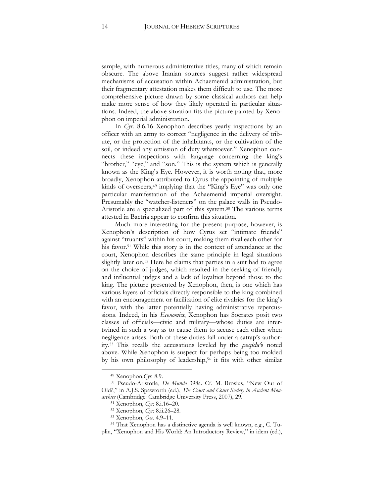sample, with numerous administrative titles, many of which remain obscure. The above Iranian sources suggest rather widespread mechanisms of accusation within Achaemenid administration, but their fragmentary attestation makes them difficult to use. The more comprehensive picture drawn by some classical authors can help make more sense of how they likely operated in particular situations. Indeed, the above situation fits the picture painted by Xenophon on imperial administration.

In *Cyr.* 8.6.16 Xenophon describes yearly inspections by an officer with an army to correct "negligence in the delivery of tribute, or the protection of the inhabitants, or the cultivation of the soil, or indeed any omission of duty whatsoever." Xenophon connects these inspections with language concerning the king's "brother," "eye," and "son." This is the system which is generally known as the King's Eye. However, it is worth noting that, more broadly, Xenophon attributed to Cyrus the appointing of multiple kinds of overseers,<sup>49</sup> implying that the "King's Eye" was only one particular manifestation of the Achaemenid imperial oversight. Presumably the "watcher-listeners" on the palace walls in Pseudo-Aristotle are a specialized part of this system.<sup>50</sup> The various terms attested in Bactria appear to confirm this situation.

Much more interesting for the present purpose, however, is Xenophon's description of how Cyrus set "intimate friends" against "truants" within his court, making them rival each other for his favor.<sup>51</sup> While this story is in the context of attendance at the court, Xenophon describes the same principle in legal situations slightly later on.<sup>52</sup> Here he claims that parties in a suit had to agree on the choice of judges, which resulted in the seeking of friendly and influential judges and a lack of loyalties beyond those to the king. The picture presented by Xenophon, then, is one which has various layers of officials directly responsible to the king combined with an encouragement or facilitation of elite rivalries for the king's favor, with the latter potentially having administrative repercussions. Indeed, in his *Economics*, Xenophon has Socrates posit two classes of officials—civic and military—whose duties are intertwined in such a way as to cause them to accuse each other when negligence arises. Both of these duties fall under a satrap's authority.<sup>53</sup> This recalls the accusations leveled by the *peqida'*s noted above. While Xenophon is suspect for perhaps being too molded by his own philosophy of leadership,<sup>54</sup> it fits with other similar

<sup>49</sup> Xenophon,*Cyr.* 8.9.

<sup>50</sup> Pseudo-Aristotle, *De Mundo* 398a. Cf. M. Brosius, "New Out of Old?," in A.J.S. Spawforth (ed.), *The Court and Court Society in Ancient Monarchies* (Cambridge: Cambridge University Press, 2007), 29.

<sup>51</sup> Xenophon, *Cyr.* 8.i.16–20.

<sup>52</sup> Xenophon, *Cyr.* 8.ii.26–28.

<sup>53</sup> Xenophon, *Oec.* 4.9–11.

<sup>54</sup> That Xenophon has a distinctive agenda is well known, e.g., C. Tuplin, "Xenophon and His World: An Introductory Review," in idem (ed.),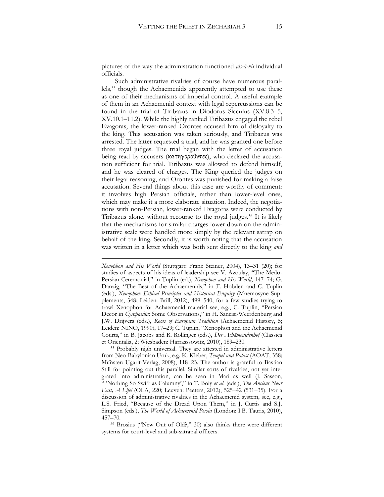pictures of the way the administration functioned *vis-à-vis* individual officials.

Such administrative rivalries of course have numerous parallels,<sup>55</sup> though the Achaemenids apparently attempted to use these as one of their mechanisms of imperial control. A useful example of them in an Achaemenid context with legal repercussions can be found in the trial of Tiribazus in Diodorus Sicculus (XV.8.3–5, XV.10.1–11.2). While the highly ranked Tiribazus engaged the rebel Evagoras, the lower-ranked Orontes accused him of disloyalty to the king. This accusation was taken seriously, and Tiribazus was arrested. The latter requested a trial, and he was granted one before three royal judges. The trial began with the letter of accusation being read by accusers (κατηγοροῦντες), who declared the accusation sufficient for trial. Tiribazus was allowed to defend himself, and he was cleared of charges. The King queried the judges on their legal reasoning, and Orontes was punished for making a false accusation. Several things about this case are worthy of comment: it involves high Persian officials, rather than lower-level ones, which may make it a more elaborate situation. Indeed, the negotiations with non-Persian, lower-ranked Evagoras were conducted by Tiribazus alone, without recourse to the royal judges.<sup>56</sup> It is likely that the mechanisms for similar charges lower down on the administrative scale were handled more simply by the relevant satrap on behalf of the king. Secondly, it is worth noting that the accusation was written in a letter which was both sent directly to the king *and*

<u>.</u>

*Xenophon and His World* (Stuttgart: Franz Steiner, 2004), 13–31 (20); for studies of aspects of his ideas of leadership see V. Azoulay, "The Medo-Persian Ceremonial," in Tuplin (ed.), *Xenophon and His World*, 147–74; G. Danzig, "The Best of the Achaemenids," in F. Hobden and C. Tuplin (eds.), *Xenophon: Ethical Principles and Historical Enquiry* (Mnemosyne Supplements, 348; Leiden: Brill, 2012), 499–540; for a few studies trying to trawl Xenophon for Achaemenid material see, e.g., C. Tuplin, "Persian Decor in *Cyropaedia*: Some Observations," in H. Sancisi-Weerdenburg and J.W. Drijvers (eds.), *Roots of European Tradition* (Achaemenid History, 5; Leiden: NINO, 1990), 17–29; C. Tuplin, "Xenophon and the Achaemenid Courts," in B. Jacobs and R. Rollinger (eds.), *Der Achämenidenhof* (Classica et Orientalia, 2; Wiesbaden: Harrasssowitz, 2010), 189–230.

<sup>55</sup> Probably nigh universal. They are attested in administrative letters from Neo-Babylonian Uruk, e.g. K. Kleber, *Tempel und Palast* (AOAT, 358; Munster: Ugarit-Verlag, 2008), 118–23. The author is grateful to Bastian Still for pointing out this parallel. Similar sorts of rivalries, not yet integrated into administration, can be seen in Mari as well (J. Sasson, " 'Nothing So Swift as Calumny'," in T. Boiy *et al*. (eds.), *The Ancient Near East, A Life!* (OLA, 220; Leuven: Peeters, 2012), 525–42 (531–35). For a discussion of administrative rivalries in the Achaemenid system, see, e.g., L.S. Fried, "Because of the Dread Upon Them," in J. Curtis and S.J. Simpson (eds.), *The World of Achaemenid Persia* (London: I.B. Tauris, 2010), 457–70.

<sup>56</sup> Brosius ("New Out of Old?," 30) also thinks there were different systems for court-level and sub-satrapal officers.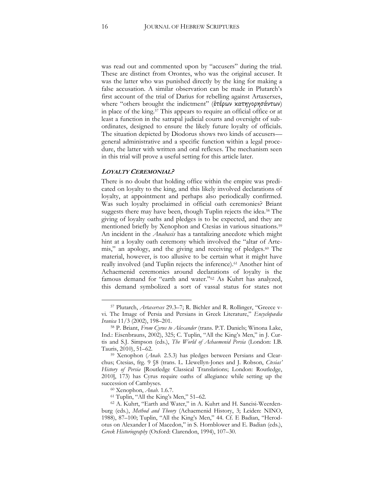was read out and commented upon by "accusers" during the trial. These are distinct from Orontes, who was the original accuser. It was the latter who was punished directly by the king for making a false accusation. A similar observation can be made in Plutarch's first account of the trial of Darius for rebelling against Artaxerxes, where "others brought the indictment" (έτέρων κατηγορησάντων) in place of the king.<sup>57</sup> This appears to require an official office or at least a function in the satrapal judicial courts and oversight of subordinates, designed to ensure the likely future loyalty of officials. The situation depicted by Diodorus shows two kinds of accusers general administrative and a specific function within a legal procedure, the latter with written and oral reflexes. The mechanism seen in this trial will prove a useful setting for this article later.

#### **LOYALTY CEREMONIAL?**

There is no doubt that holding office within the empire was predicated on loyalty to the king, and this likely involved declarations of loyalty, at appointment and perhaps also periodically confirmed. Was such loyalty proclaimed in official oath ceremonies? Briant suggests there may have been, though Tuplin rejects the idea.<sup>58</sup> The giving of loyalty oaths and pledges is to be expected, and they are mentioned briefly by Xenophon and Ctesias in various situations.<sup>59</sup> An incident in the *Anabasis* has a tantalizing anecdote which might hint at a loyalty oath ceremony which involved the "altar of Artemis," an apology, and the giving and receiving of pledges.<sup>60</sup> The material, however, is too allusive to be certain what it might have really involved (and Tuplin rejects the inference).<sup>61</sup> Another hint of Achaemenid ceremonies around declarations of loyalty is the famous demand for "earth and water."<sup>62</sup> As Kuhrt has analyzed, this demand symbolized a sort of vassal status for states not

<sup>57</sup> Plutarch, *Artaxerxes* 29.3–7; R. Bichler and R. Rollinger, "Greece vvi. The Image of Persia and Persians in Greek Literature," *Encyclopædia Iranica* 11/3 (2002), 198–201.

<sup>58</sup> P. Briant, *From Cyrus to Alexander* (trans. P.T. Daniels; Winona Lake, Ind.: Eisenbrauns, 2002), 325; C. Tuplin, "All the King's Men," in J. Curtis and S.J. Simpson (eds.), *The World of Achaemenid Persia* (London: I.B. Tauris, 2010), 51–62.

<sup>59</sup> Xenophon (*Anab.* 2.5.3) has pledges between Persians and Clearchus; Ctesias, frg. 9 §8 (trans. L. Llewellyn-Jones and J. Robson, *Ctesias' History of Persia* [Routledge Classical Translations; London: Routledge, 2010], 173) has Cyrus require oaths of allegiance while setting up the succession of Cambyses.

<sup>60</sup> Xenophon, *Anab.* 1.6.7.

<sup>61</sup> Tuplin, "All the King's Men," 51–62.

<sup>62</sup> A. Kuhrt, "Earth and Water," in A. Kuhrt and H. Sancisi-Weerdenburg (eds.), *Method and Theory* (Achaemenid History, 3; Leiden: NINO, 1988), 87–100; Tuplin, "All the King's Men," 44. Cf. E Badian, "Herodotus on Alexander I of Macedon," in S. Hornblower and E. Badian (eds.), *Greek Historiography* (Oxford: Clarendon, 1994), 107–30.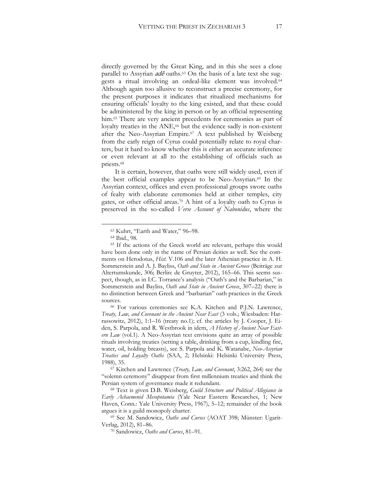directly governed by the Great King, and in this she sees a close parallel to Assyrian  $ad\hat{e}$  oaths.<sup>63</sup> On the basis of a late text she suggests a ritual involving an ordeal-like element was involved.<sup>64</sup> Although again too allusive to reconstruct a precise ceremony, for the present purposes it indicates that ritualized mechanisms for ensuring officials' loyalty to the king existed, and that these could be administered by the king in person or by an official representing him.<sup>65</sup> There are very ancient precedents for ceremonies as part of loyalty treaties in the ANE,<sup>66</sup> but the evidence sadly is non-existent after the Neo-Assyrian Empire.<sup>67</sup> A text published by Weisberg from the early reign of Cyrus could potentially relate to royal charters, but it hard to know whether this is either an accurate inference or even relevant at all to the establishing of officials such as priests.<sup>68</sup>

It is certain, however, that oaths were still widely used, even if the best official examples appear to be Neo-Assyrian.<sup>69</sup> In the Assyrian context, offices and even professional groups swore oaths of fealty with elaborate ceremonies held at either temples, city gates, or other official areas.<sup>70</sup> A hint of a loyalty oath to Cyrus is preserved in the so-called *Verse Account of Nabonidus*, where the

<sup>63</sup> Kuhrt, "Earth and Water," 96–98.

<sup>64</sup> Ibid., 98.

<sup>65</sup> If the actions of the Greek world are relevant, perhaps this would have been done only in the name of Persian deities as well. See the comments on Herodotus, *Hist.* V.106 and the later Athenian practice in A. H. Sommerstein and A. J. Bayliss, *Oath and State in Ancient Greece* (Beiträge zur Altertumskunde, 306; Berlin: de Gruyter, 2012), 165–66. This seems suspect, though, as in I.C. Torrance's analysis ("Oath's and the Barbarian," in Sommerstein and Bayliss, *Oath and State in Ancient Greece*, 307–22) there is no distinction between Greek and "barbarian" oath practices in the Greek sources.

<sup>66</sup> For various ceremonies see K.A. Kitchen and P.J.N. Lawrence, *Treaty, Law, and Covenant in the Ancient Near East* (3 vols.; Wiesbaden: Harrassowitz, 2012), 1:1–16 (treaty no.1); cf. the articles by J. Cooper, J. Eiden, S. Parpola, and R. Westbrook in idem, *A History of Ancient Near Eastern Law* (vol.1). A Neo-Assyrian text envisions quite an array of possible rituals involving treaties (setting a table, drinking from a cup, kindling fire, water, oil, holding breasts), see S. Parpola and K. Watanabe, *Neo-Assyrian Treaties and Loyalty Oaths* (SAA, 2; Helsinki: Helsinki University Press, 1988), 35.

<sup>67</sup> Kitchen and Lawrence (*Treaty, Law, and Covenant*, 3:262, 264) see the "solemn ceremony" disappear from first millennium treaties and think the Persian system of governance made it redundant.

<sup>68</sup> Text is given D.B. Weisberg, *Guild Structure and Political Allegiance in Early Achaemenid Mesopotamia* (Yale Near Eastern Researches, 1; New Haven, Conn.: Yale University Press, 1967), 5–12; remainder of the book argues it is a guild monopoly charter.

<sup>69</sup> See M. Sandowicz, *Oaths and Curses* (AOAT 398; Münster: Ugarit-Verlag, 2012), 81–86.

<sup>70</sup> Sandowicz, *Oaths and Curses*, 81–91.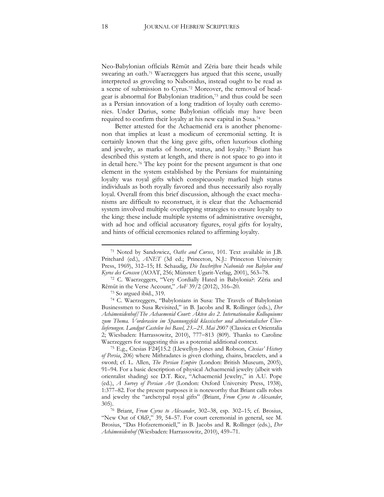Neo-Babylonian officials Rēmūt and Zēria bare their heads while swearing an oath.<sup>71</sup> Waerzeggers has argued that this scene, usually interpreted as groveling to Nabonidus, instead ought to be read as a scene of submission to Cyrus.<sup>72</sup> Moreover, the removal of headgear is abnormal for Babylonian tradition,<sup>73</sup> and thus could be seen as a Persian innovation of a long tradition of loyalty oath ceremonies. Under Darius, some Babylonian officials may have been required to confirm their loyalty at his new capital in Susa.<sup>74</sup>

Better attested for the Achaemenid era is another phenomenon that implies at least a modicum of ceremonial setting. It is certainly known that the king gave gifts, often luxurious clothing and jewelry, as marks of honor, status, and loyalty.<sup>75</sup> Briant has described this system at length, and there is not space to go into it in detail here.<sup>76</sup> The key point for the present argument is that one element in the system established by the Persians for maintaining loyalty was royal gifts which conspicuously marked high status individuals as both royally favored and thus necessarily also royally loyal. Overall from this brief discussion, although the exact mechanisms are difficult to reconstruct, it is clear that the Achaemenid system involved multiple overlapping strategies to ensure loyalty to the king: these include multiple systems of administrative oversight, with ad hoc and official accusatory figures, royal gifts for loyalty, and hints of official ceremonies related to affirming loyalty.

<sup>73</sup> So argued ibid., 319.

 $\overline{a}$ 

<sup>74</sup> C. Waerzeggers, "Babylonians in Susa: The Travels of Babylonian Businessmen to Susa Revisited," in B. Jacobs and R. Rollinger (eds.), *Der Achämenidenhof/The Achaemenid Court: Akten des 2. Internationalen Kolloquiums zum Thema. Vorderasien im Spannungsfeld klassischer und altorientalischer Überlieferungen. Landgut Castelen bei Basel, 23.–25. Mai 2007* (Classica et Orientalia 2; Wiesbaden: Harrassowitz, 2010), 777-813 (809). Thanks to Caroline Waerzeggers for suggesting this as a potential additional context.

<sup>75</sup> E.g., Ctesias F24§15.2 (Llewellyn-Jones and Robson, *Ctesias' History of Persia*, 206) where Mithradates is given clothing, chains, bracelets, and a sword; cf. L. Allen, *The Persian Empire* (London: British Museum, 2005), 91–94. For a basic description of physical Achaemenid jewelry (albeit with orientalist shading) see D.T. Rice, "Achaemenid Jewelry," in A.U. Pope (ed.), *A Survey of Persian Art* (London: Oxford University Press, 1938), 1:377–82. For the present purposes it is noteworthy that Briant calls robes and jewelry the "archetypal royal gifts" (Briant, *From Cyrus to Alexander*, 305).

<sup>76</sup> Briant, *From Cyrus to Alexander*, 302–38, esp. 302–15; cf. Brosius, "New Out of Old?," 39, 54–57. For court ceremonial in general, see M. Brosius, "Das Hofzeremoniell," in B. Jacobs and R. Rollinger (eds.), *Der Achämenidenhof* (Wiesbaden: Harrassowitz, 2010), 459–71.

<sup>71</sup> Noted by Sandowicz, *Oaths and Curses*, 101. Text available in J.B. Pritchard (ed.), *ANET* (3d ed.; Princeton, N.J.: Princeton University Press, 1969), 312–15; H. Schaudig, *Die Inschriften Nabonids von Babylon und Kyros des Grossen* (AOAT, 256; Münster: Ugarit-Verlag, 2001), 563–78.

<sup>72</sup> C. Waerzeggers, "Very Cordially Hated in Babylonia?: Zēria and Rēmūt in the Verse Account," *AoF* 39/2 (2012), 316–20.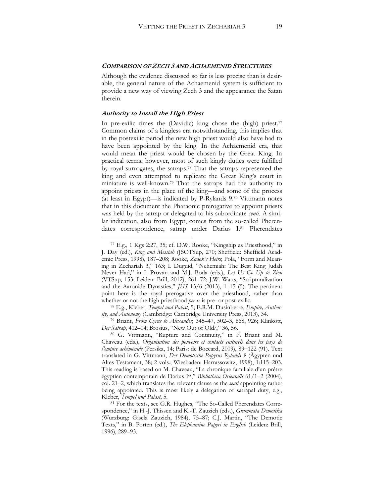#### **COMPARISON OF ZECH 3 AND ACHAEMENID STRUCTURES**

Although the evidence discussed so far is less precise than is desirable, the general nature of the Achaemenid system is sufficient to provide a new way of viewing Zech 3 and the appearance the Satan therein.

#### **Authority to Install the High Priest**

 $\overline{a}$ 

In pre-exilic times the (Davidic) king chose the (high) priest.<sup>77</sup> Common claims of a kingless era notwithstanding, this implies that in the postexilic period the new high priest would also have had to have been appointed by the king. In the Achaemenid era, that would mean the priest would be chosen by the Great King. In practical terms, however, most of such kingly duties were fulfilled by royal surrogates, the satraps.<sup>78</sup> That the satraps represented the king and even attempted to replicate the Great King's court in miniature is well-known.<sup>79</sup> That the satraps had the authority to appoint priests in the place of the king—and some of the process (at least in Egypt)—is indicated by P-Rylands 9.<sup>80</sup> Vittmann notes that in this document the Pharaonic prerogative to appoint priests was held by the satrap or delegated to his subordinate *senti*. A similar indication, also from Egypt, comes from the so-called Pherendates correspondence, satrap under Darius I.<sup>81</sup> Pherendates

<sup>77</sup> E.g., 1 Kgs 2:27, 35; cf. D.W. Rooke, "Kingship as Priesthood," in J. Day (ed.), *King and Messiah* (JSOTSup, 270; Sheffield: Sheffield Academic Press, 1998), 187–208; Rooke, *Zadok's Heirs*; Pola, "Form and Meaning in Zechariah 3," 163; I. Duguid, "Nehemiah: The Best King Judah Never Had," in I. Provan and M.J. Boda (eds.), *Let Us Go Up to Zion* (VTSup, 153; Leiden: Brill, 2012), 261–72; J.W. Watts, "Scripturalization and the Aaronide Dynasties," *JHS* 13/6 (2013), 1–15 (5). The pertinent point here is the royal prerogative over the priesthood, rather than whether or not the high priesthood *per se* is pre- or post-exilic.

<sup>78</sup> E.g., Kleber, *Tempel und Palast*, 5; E.R.M. Dusinberre, *Empire, Authority, and Autonomy* (Cambridge: Cambridge University Press, 2013), 34.

<sup>79</sup> Briant, *From Cyrus to Alexander*, 345–47, 502–3, 668, 926; Klinkott, *Der Satrap*, 412–14; Brosius, "New Out of Old?," 36, 56.

<sup>80</sup> G. Vittmann, "Rupture and Continuity," in P. Briant and M. Chaveau (eds.), *Organisation des pouvoirs et contacts culturels dans les pays de l'empire achéménide* (Persika, 14; Paris: de Boccard, 2009), 89-122 (91). Text translated in G. Vittmann, *Der Demotische Papyrus Rylands 9* (Ägypten und Altes Testament, 38; 2 vols.; Wiesbaden: Harrassowitz, 1998), 1:115–203. This reading is based on M. Chaveau, "La chronique familiale d'un prêtre égyptien contemporain de Darius Ier," *Bibliotheca Orientalis* 61/1–2 (2004), col. 21–2, which translates the relevant clause as the *senti* appointing rather being appointed. This is most likely a delegation of satrapal duty, e.g., Kleber, *Tempel und Palast*, 5.

<sup>81</sup> For the texts, see G.R. Hughes, "The So-Called Pherendates Correspondence," in H.-J. Thissen and K.-T. Zauzich (eds.), *Grammata Demotika* (Würzburg: Gisela Zauzich, 1984), 75–87; C.J. Martin, "The Demotic Texts," in B. Porten (ed.), *The Elephantine Papyri in English* (Leiden: Brill, 1996), 289–93.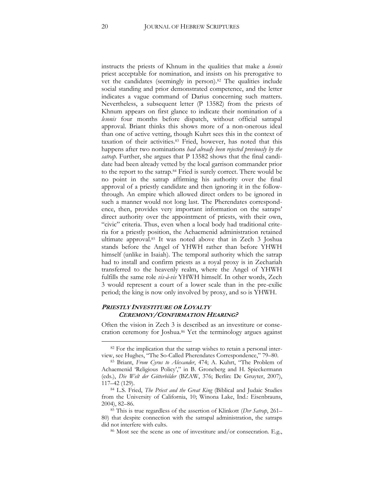instructs the priests of Khnum in the qualities that make a *lesonis*  priest acceptable for nomination, and insists on his prerogative to vet the candidates (seemingly in person).<sup>82</sup> The qualities include social standing and prior demonstrated competence, and the letter indicates a vague command of Darius concerning such matters. Nevertheless, a subsequent letter (P 13582) from the priests of Khnum appears on first glance to indicate their nomination of a *lesonis* four months before dispatch, without official satrapal approval. Briant thinks this shows more of a non-onerous ideal than one of active vetting, though Kuhrt sees this in the context of taxation of their activities.<sup>83</sup> Fried, however, has noted that this happens after two nominations *had already been rejected previously by the satrap*. Further, she argues that P 13582 shows that the final candidate had been already vetted by the local garrison commander prior to the report to the satrap.<sup>84</sup> Fried is surely correct. There would be no point in the satrap affirming his authority over the final approval of a priestly candidate and then ignoring it in the followthrough. An empire which allowed direct orders to be ignored in such a manner would not long last. The Pherendates correspondence, then, provides very important information on the satraps' direct authority over the appointment of priests, with their own, "civic" criteria. Thus, even when a local body had traditional criteria for a priestly position, the Achaemenid administration retained ultimate approval.<sup>85</sup> It was noted above that in Zech 3 Joshua stands before the Angel of YHWH rather than before YHWH himself (unlike in Isaiah). The temporal authority which the satrap had to install and confirm priests as a royal proxy is in Zechariah transferred to the heavenly realm, where the Angel of YHWH fulfills the same role *vis-à-vis* YHWH himself. In other words, Zech 3 would represent a court of a lower scale than in the pre-exilic period; the king is now only involved by proxy, and so is YHWH.

#### **PRIESTLY INVESTITURE OR LOYALTY CEREMONY/CONFIRMATION HEARING?**

Often the vision in Zech 3 is described as an investiture or consecration ceremony for Joshua.<sup>86</sup> Yet the terminology argues against

<sup>&</sup>lt;sup>82</sup> For the implication that the satrap wishes to retain a personal interview, see Hughes, "The So-Called Pherendates Correspondence," 79–80.

<sup>83</sup> Briant, *From Cyrus to Alexander*, 474; A. Kuhrt, "The Problem of Achaemenid 'Religious Policy'," in B. Groneberg and H. Spieckermann (eds.), *Die Welt der Götterbilder* (BZAW, 376; Berlin: De Gruyter, 2007), 117–42 (129).

<sup>84</sup> L.S. Fried, *The Priest and the Great King* (Biblical and Judaic Studies from the University of California, 10; Winona Lake, Ind.: Eisenbrauns, 2004), 82–86.

<sup>85</sup> This is true regardless of the assertion of Klinkott (*Der Satrap*, 261– 80) that despite connection with the satrapal administration, the satraps did not interfere with cults.

<sup>86</sup> Most see the scene as one of investiture and/or consecration. E.g.,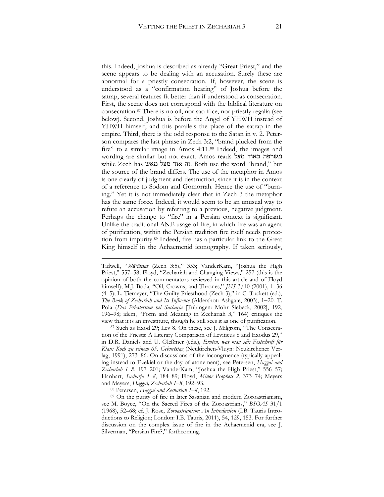this. Indeed, Joshua is described as already "Great Priest," and the

scene appears to be dealing with an accusation. Surely these are abnormal for a priestly consecration. If, however, the scene is understood as a "confirmation hearing" of Joshua before the satrap, several features fit better than if understood as consecration. First, the scene does not correspond with the biblical literature on consecration.<sup>87</sup> There is no oil, nor sacrifice, nor priestly regalia (see below). Second, Joshua is before the Angel of YHWH instead of YHWH himself, and this parallels the place of the satrap in the empire. Third, there is the odd response to the Satan in v. 2. Peterson compares the last phrase in Zech 3:2, "brand plucked from the fire" to a similar image in Amos 4:11.<sup>88</sup> Indeed, the images and wording are similar but not exact. Amos reads מצל כאוד משרפה while Zech has מאש מצל אוד זה. Both use the word "brand," but the source of the brand differs. The use of the metaphor in Amos is one clearly of judgment and destruction, since it is in the context of a reference to Sodom and Gomorrah. Hence the use of "burning." Yet it is not immediately clear that in Zech 3 the metaphor has the same force. Indeed, it would seem to be an unusual way to refute an accusation by referring to a previous, negative judgment. Perhaps the change to "fire" in a Persian context is significant. Unlike the traditional ANE usage of fire, in which fire was an agent of purification, within the Persian tradition fire itself needs protection from impurity.<sup>89</sup> Indeed, fire has a particular link to the Great King himself in the Achaemenid iconography. If taken seriously,

<sup>87</sup> Such as Exod 29; Lev 8. On these, see J. Milgrom, "The Consecration of the Priests: A Literary Comparison of Leviticus 8 and Exodus 29," in D.R. Daniels and U. Gleßmer (eds.), *Ernten, was man sat: Festschrift für Klaus Koch zu seinem 65. Geburtstag* (Neukirchen-Vluyn: Neukirchener Verlag, 1991), 273–86. On discussions of the incongruence (typically appealing instead to Ezekiel or the day of atonement), see Petersen, *Haggai and Zechariah 1–8*, 197–201; VanderKam, "Joshua the High Priest," 556–57; Hanhart, *Sacharja 1–8*, 184–89; Floyd, *Minor Prophets 2*, 373–74; Meyers and Meyers, *Haggai, Zechariah 1–8*, 192–93.

<sup>88</sup> Petersen, *Haggai and Zechariah 1–8*, 192.

<u>.</u>

<sup>89</sup> On the purity of fire in later Sasanian and modern Zoroastrianism, see M. Boyce, "On the Sacred Fires of the Zoroastrians," *BSOAS* 31/1 (1968), 52–68; cf. J. Rose, *Zoroastrianism: An Introduction* (I.B. Tauris Introductions to Religion; London: I.B. Tauris, 2011), 54, 129, 153. For further discussion on the complex issue of fire in the Achaemenid era, see J. Silverman, "Persian Fire?," forthcoming.

Tidwell, "Wāʾōmar (Zech 3:5)," 353; VanderKam, "Joshua the High Priest," 557–58; Floyd, "Zechariah and Changing Views," 257 (this is the opinion of both the commentators reviewed in this article and of Floyd himself); M.J. Boda, "Oil, Crowns, and Thrones," *JHS* 3/10 (2001), 1–36 (4–5); L. Tiemeyer, "The Guilty Priesthood (Zech 3)," in C. Tuckett (ed.), *The Book of Zechariah and Its Influence* (Aldershot: Ashgate, 2003), 1-20. T. Pola (*Das Priestertum bei Sacharja* [Tübingen: Mohr Siebeck, 2002], 192, 196–98; idem, "Form and Meaning in Zechariah 3," 164) critiques the view that it is an investiture, though he still sees it as one of purification.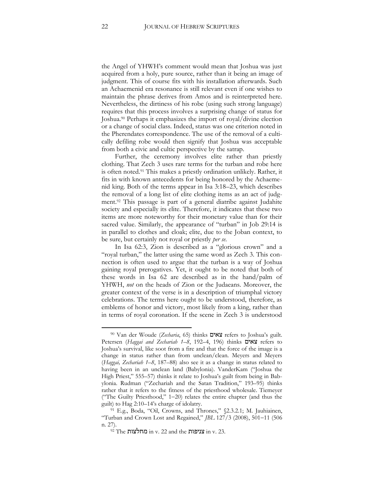the Angel of YHWH's comment would mean that Joshua was just acquired from a holy, pure source, rather than it being an image of judgment. This of course fits with his installation afterwards. Such an Achaemenid era resonance is still relevant even if one wishes to maintain the phrase derives from Amos and is reinterpreted here. Nevertheless, the dirtiness of his robe (using such strong language) requires that this process involves a surprising change of status for Joshua.<sup>90</sup> Perhaps it emphasizes the import of royal/divine election or a change of social class. Indeed, status was one criterion noted in the Pherendates correspondence. The use of the removal of a cultically defiling robe would then signify that Joshua was acceptable from both a civic and cultic perspective by the satrap.

Further, the ceremony involves elite rather than priestly clothing. That Zech 3 uses rare terms for the turban and robe here is often noted.<sup>91</sup> This makes a priestly ordination unlikely. Rather, it fits in with known antecedents for being honored by the Achaemenid king. Both of the terms appear in Isa 3:18–23, which describes the removal of a long list of elite clothing items as an act of judgment.<sup>92</sup> This passage is part of a general diatribe against Judahite society and especially its elite. Therefore, it indicates that these two items are more noteworthy for their monetary value than for their sacred value. Similarly, the appearance of "turban" in Job 29:14 is in parallel to clothes and cloak; elite, due to the Joban context, to be sure, but certainly not royal or priestly *per se*.

In Isa 62:3, Zion is described as a "glorious crown" and a "royal turban," the latter using the same word as Zech 3. This connection is often used to argue that the turban is a way of Joshua gaining royal prerogatives. Yet, it ought to be noted that both of these words in Isa 62 are described as in the hand/palm of YHWH, *not* on the heads of Zion or the Judaeans. Moreover, the greater context of the verse is in a description of triumphal victory celebrations. The terms here ought to be understood, therefore, as emblems of honor and victory, most likely from a king, rather than in terms of royal coronation. If the scene in Zech 3 is understood

<sup>90</sup> Van der Woude (*Zecharia*, 65) thinks צאים refers to Joshua's guilt. Petersen (*Haggai and Zechariah 1–8*, 192–4, 196) thinks צאים refers to Joshua's survival, like soot from a fire and that the force of the image is a change in status rather than from unclean/clean. Meyers and Meyers (*Haggai, Zechariah 1–8*, 187–88) also see it as a change in status related to having been in an unclean land (Babylonia). VanderKam ("Joshua the High Priest," 555–57) thinks it relate to Joshua's guilt from being in Babylonia. Rudman ("Zechariah and the Satan Tradition," 193–95) thinks rather that it refers to the fitness of the priesthood wholesale. Tiemeyer ("The Guilty Priesthood," 1-20) relates the entire chapter (and thus the guilt) to Hag 2:10–14's charge of idolatry.

<sup>&</sup>lt;sup>91</sup> E.g., Boda, "Oil, Crowns, and Thrones," §2.3.2.1; M. Jauhiainen, "Turban and Crown Lost and Regained," *JBL* 127/3 (2008), 501-11 (506 n. 27).

<sup>92</sup> The מחלצות in v. 22 and the צניפות in v. 23.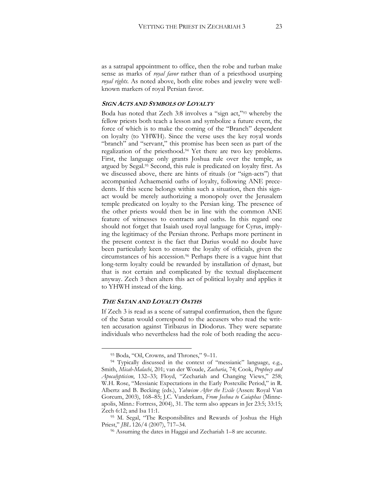as a satrapal appointment to office, then the robe and turban make sense as marks of *royal favor* rather than of a priesthood usurping *royal rights*. As noted above, both elite robes and jewelry were wellknown markers of royal Persian favor.

#### **SIGN ACTS AND SYMBOLS OF LOYALTY**

Boda has noted that Zech 3:8 involves a "sign act,"<sup>93</sup> whereby the fellow priests both teach a lesson and symbolize a future event, the force of which is to make the coming of the "Branch" dependent on loyalty (to YHWH). Since the verse uses the key royal words "branch" and "servant," this promise has been seen as part of the regalization of the priesthood.<sup>94</sup> Yet there are two key problems. First, the language only grants Joshua rule over the temple, as argued by Segal.<sup>95</sup> Second, this rule is predicated on loyalty first. As we discussed above, there are hints of rituals (or "sign-acts") that accompanied Achaemenid oaths of loyalty, following ANE precedents. If this scene belongs within such a situation, then this signact would be merely authorizing a monopoly over the Jerusalem temple predicated on loyalty to the Persian king. The presence of the other priests would then be in line with the common ANE feature of witnesses to contracts and oaths. In this regard one should not forget that Isaiah used royal language for Cyrus, implying the legitimacy of the Persian throne. Perhaps more pertinent in the present context is the fact that Darius would no doubt have been particularly keen to ensure the loyalty of officials, given the circumstances of his accession.<sup>96</sup> Perhaps there is a vague hint that long-term loyalty could be rewarded by installation of dynast, but that is not certain and complicated by the textual displacement anyway. Zech 3 then alters this act of political loyalty and applies it to YHWH instead of the king.

#### **THE SATAN AND LOYALTY OATHS**

 $\overline{a}$ 

If Zech 3 is read as a scene of satrapal confirmation, then the figure of the Satan would correspond to the accusers who read the written accusation against Tiribazus in Diodorus. They were separate individuals who nevertheless had the role of both reading the accu-

<sup>93</sup> Boda, "Oil, Crowns, and Thrones," 9–11.

<sup>94</sup> Typically discussed in the context of "messianic" language, e.g., Smith, *Micah-Malachi*, 201; van der Woude, *Zacharia*, 74; Cook, *Prophecy and Apocalypticism*, 132–33; Floyd, "Zechariah and Changing Views," 258; W.H. Rose, "Messianic Expectations in the Early Postexilic Period," in R. Albertz and B. Becking (eds.), *Yahwism After the Exile* (Assen: Royal Van Gorcum, 2003), 168–85; J.C. Vanderkam, *From Joshua to Caiaphas* (Minneapolis, Minn.: Fortress, 2004), 31. The term also appears in Jer 23:5; 33:15; Zech 6:12; and Isa 11:1.

<sup>95</sup> M. Segal, "The Responsibilites and Rewards of Joshua the High Priest," *JBL* 126/4 (2007), 717–34.

<sup>96</sup> Assuming the dates in Haggai and Zechariah 1–8 are accurate.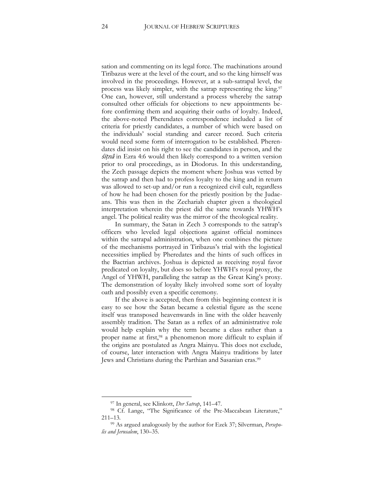sation and commenting on its legal force. The machinations around Tiribazus were at the level of the court, and so the king himself was involved in the proceedings. However, at a sub-satrapal level, the process was likely simpler, with the satrap representing the king.<sup>97</sup> One can, however, still understand a process whereby the satrap consulted other officials for objections to new appointments before confirming them and acquiring their oaths of loyalty. Indeed, the above-noted Pherendates correspondence included a list of criteria for priestly candidates, a number of which were based on the individuals' social standing and career record. Such criteria would need some form of interrogation to be established. Pherendates did insist on his right to see the candidates in person, and the śiṭnâ in Ezra 4:6 would then likely correspond to a written version prior to oral proceedings, as in Diodorus. In this understanding, the Zech passage depicts the moment where Joshua was vetted by the satrap and then had to profess loyalty to the king and in return was allowed to set-up and/or run a recognized civil cult, regardless of how he had been chosen for the priestly position by the Judaeans. This was then in the Zechariah chapter given a theological interpretation wherein the priest did the same towards YHWH's angel. The political reality was the mirror of the theological reality.

In summary, the Satan in Zech 3 corresponds to the satrap's officers who leveled legal objections against official nominees within the satrapal administration, when one combines the picture of the mechanisms portrayed in Tiribazus's trial with the logistical necessities implied by Pheredates and the hints of such offices in the Bactrian archives. Joshua is depicted as receiving royal favor predicated on loyalty, but does so before YHWH's royal proxy, the Angel of YHWH, paralleling the satrap as the Great King's proxy. The demonstration of loyalty likely involved some sort of loyalty oath and possibly even a specific ceremony.

If the above is accepted, then from this beginning context it is easy to see how the Satan became a celestial figure as the scene itself was transposed heavenwards in line with the older heavenly assembly tradition. The Satan as a reflex of an administrative role would help explain why the term became a class rather than a proper name at first,<sup>98</sup> a phenomenon more difficult to explain if the origins are postulated as Angra Mainyu. This does not exclude, of course, later interaction with Angra Mainyu traditions by later Jews and Christians during the Parthian and Sasanian eras.<sup>99</sup>

<sup>97</sup> In general, see Klinkott, *Der Satrap*, 141–47.

<sup>98</sup> Cf. Lange, "The Significance of the Pre-Maccabean Literature," 211–13.

<sup>99</sup> As argued analogously by the author for Ezek 37; Silverman, *Persepolis and Jerusalem*, 130–35.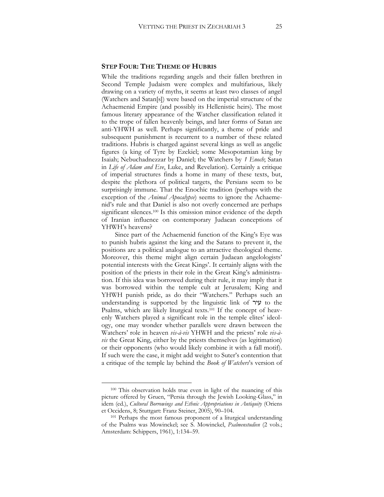#### **STEP FOUR: THE THEME OF HUBRIS**

While the traditions regarding angels and their fallen brethren in Second Temple Judaism were complex and multifarious, likely drawing on a variety of myths, it seems at least two classes of angel (Watchers and Satan[s]) were based on the imperial structure of the Achaemenid Empire (and possibly its Hellenistic heirs). The most famous literary appearance of the Watcher classification related it to the trope of fallen heavenly beings, and later forms of Satan are anti-YHWH as well. Perhaps significantly, a theme of pride and subsequent punishment is recurrent to a number of these related traditions. Hubris is charged against several kings as well as angelic figures (a king of Tyre by Ezekiel; some Mesopotamian king by Isaiah; Nebuchadnezzar by Daniel; the Watchers by *1 Enoch*; Satan in *Life of Adam and Eve*, Luke, and Revelation). Certainly a critique of imperial structures finds a home in many of these texts, but, despite the plethora of political targets, the Persians seem to be surprisingly immune. That the Enochic tradition (perhaps with the exception of the *Animal Apocalypse*) seems to ignore the Achaemenid's rule and that Daniel is also not overly concerned are perhaps significant silences.<sup>100</sup> Is this omission minor evidence of the depth of Iranian influence on contemporary Judaean conceptions of YHWH's heavens?

Since part of the Achaemenid function of the King's Eye was to punish hubris against the king and the Satans to prevent it, the positions are a political analogue to an attractive theological theme. Moreover, this theme might align certain Judaean angelologists' potential interests with the Great Kings'. It certainly aligns with the position of the priests in their role in the Great King's administration. If this idea was borrowed during their rule, it may imply that it was borrowed within the temple cult at Jerusalem; King and YHWH punish pride, as do their "Watchers." Perhaps such an understanding is supported by the linguistic link of  $\forall y$  to the Psalms, which are likely liturgical texts.<sup>101</sup> If the concept of heavenly Watchers played a significant role in the temple elites' ideology, one may wonder whether parallels were drawn between the Watchers' role in heaven *vis-à-vis* YHWH and the priests' role *vis-àvis* the Great King, either by the priests themselves (as legitimation) or their opponents (who would likely combine it with a fall motif). If such were the case, it might add weight to Suter's contention that a critique of the temple lay behind the *Book of Watchers*'s version of

<sup>100</sup> This observation holds true even in light of the nuancing of this picture offered by Gruen, "Persia through the Jewish Looking-Glass," in idem (ed.), *Cultural Borrowings and Ethnic Appropriations in Antiquity* (Oriens et Occidens, 8; Stuttgart: Franz Steiner, 2005), 90–104.

<sup>&</sup>lt;sup>101</sup> Perhaps the most famous proponent of a liturgical understanding of the Psalms was Mowinckel; see S. Mowinckel, *Psalmenstudien* (2 vols.; Amsterdam: Schippers, 1961), 1:134–59.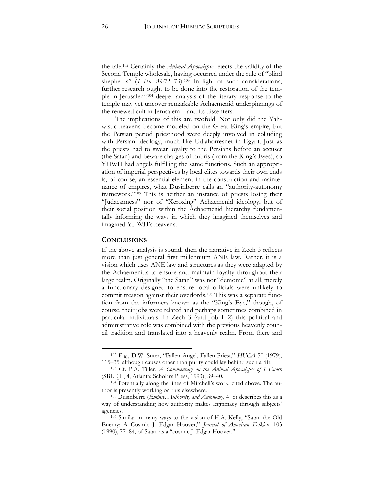the tale.<sup>102</sup> Certainly the *Animal Apocalypse* rejects the validity of the Second Temple wholesale, having occurred under the rule of "blind shepherds" (*1 En.* 89:72-73).<sup>103</sup> In light of such considerations, further research ought to be done into the restoration of the temple in Jerusalem;<sup>104</sup> deeper analysis of the literary response to the temple may yet uncover remarkable Achaemenid underpinnings of the renewed cult in Jerusalem—and its dissenters.

The implications of this are twofold. Not only did the Yahwistic heavens become modeled on the Great King's empire, but the Persian period priesthood were deeply involved in colluding with Persian ideology, much like Udjahorresnet in Egypt. Just as the priests had to swear loyalty to the Persians before an accuser (the Satan) and beware charges of hubris (from the King's Eyes), so YHWH had angels fulfilling the same functions. Such an appropriation of imperial perspectives by local elites towards their own ends is, of course, an essential element in the construction and maintenance of empires, what Dusinberre calls an "authority-autonomy framework."<sup>105</sup> This is neither an instance of priests losing their "Judaeanness" nor of "Xeroxing" Achaemenid ideology, but of their social position within the Achaemenid hierarchy fundamentally informing the ways in which they imagined themselves and imagined YHWH's heavens.

#### **CONCLUSIONS**

 $\overline{a}$ 

If the above analysis is sound, then the narrative in Zech 3 reflects more than just general first millennium ANE law. Rather, it is a vision which uses ANE law and structures as they were adapted by the Achaemenids to ensure and maintain loyalty throughout their large realm. Originally "the Satan" was not "demonic" at all, merely a functionary designed to ensure local officials were unlikely to commit treason against their overlords.<sup>106</sup> This was a separate function from the informers known as the "King's Eye," though, of course, their jobs were related and perhaps sometimes combined in particular individuals. In Zech 3 (and Job 1–2) this political and administrative role was combined with the previous heavenly council tradition and translated into a heavenly realm. From there and

<sup>102</sup> E.g., D.W. Suter, "Fallen Angel, Fallen Priest," *HUCA* 50 (1979), 115–35, although causes other than purity could lay behind such a rift.

<sup>103</sup> Cf. P.A. Tiller, *A Commentary on the Animal Apocalypse of 1 Enoch* (SBLEJL, 4; Atlanta: Scholars Press, 1993), 39–40.

<sup>104</sup> Potentially along the lines of Mitchell's work, cited above. The author is presently working on this elsewhere.

<sup>&</sup>lt;sup>105</sup> Dusinberre (*Empire, Authority, and Autonomy*, 4-8) describes this as a way of understanding how authority makes legitimacy through subjects' agencies.

<sup>106</sup> Similar in many ways to the vision of H.A. Kelly, "Satan the Old Enemy: A Cosmic J. Edgar Hoover," *Journal of American Folklore* 103 (1990), 77–84, of Satan as a "cosmic J. Edgar Hoover."